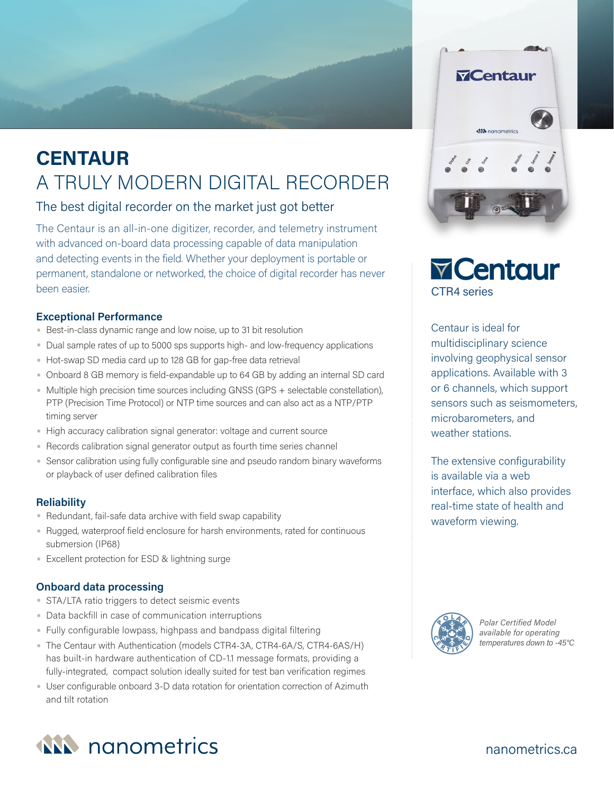# **CENTAUR** A TRULY MODERN DIGITAL RECORDER

# The best digital recorder on the market just got better

The Centaur is an all-in-one digitizer, recorder, and telemetry instrument with advanced on-board data processing capable of data manipulation and detecting events in the field. Whether your deployment is portable or permanent, standalone or networked, the choice of digital recorder has never been easier.

# **Exceptional Performance**

- Best-in-class dynamic range and low noise, up to 31 bit resolution
- Dual sample rates of up to 5000 sps supports high- and low-frequency applications
- Hot-swap SD media card up to 128 GB for gap-free data retrieval
- Onboard 8 GB memory is field-expandable up to 64 GB by adding an internal SD card
- Multiple high precision time sources including GNSS (GPS + selectable constellation), PTP (Precision Time Protocol) or NTP time sources and can also act as a NTP/PTP timing server
- High accuracy calibration signal generator: voltage and current source
- Records calibration signal generator output as fourth time series channel
- Sensor calibration using fully configurable sine and pseudo random binary waveforms or playback of user defined calibration files

## **Reliability**

- Redundant, fail-safe data archive with field swap capability
- Rugged, waterproof field enclosure for harsh environments, rated for continuous submersion (IP68)
- Excellent protection for ESD & lightning surge

## **Onboard data processing**

- STA/LTA ratio triggers to detect seismic events
- Data backfill in case of communication interruptions
- Fully configurable lowpass, highpass and bandpass digital filtering
- The Centaur with Authentication (models CTR4-3A, CTR4-6A/S, CTR4-6AS/H) has built-in hardware authentication of CD-1.1 message formats, providing a fully-integrated, compact solution ideally suited for test ban verification regimes
- User configurable onboard 3-D data rotation for orientation correction of Azimuth and tilt rotation



# **Y Centaur** CTR4 series

Centaur is ideal for multidisciplinary science involving geophysical sensor applications. Available with 3 or 6 channels, which support sensors such as seismometers, microbarometers, and weather stations.

The extensive configurability is available via a web interface, which also provides real-time state of health and waveform viewing.



*Polar Certified Model available for operating temperatures down to -45°C*



nanometrics.ca